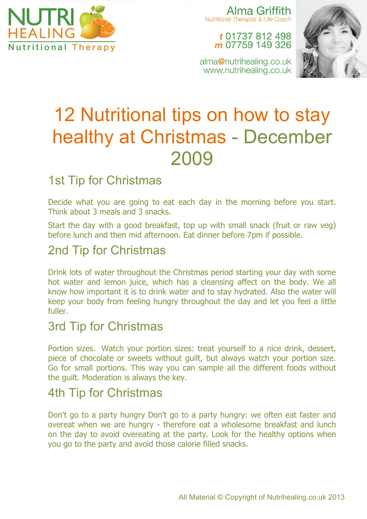

Alma Griffith **Nutritional Therapist & Life Coach** 

#### t 01737 812 498 m 07759 149 326

alma@nutrihealing.co.uk www.nutrihealing.co.uk



# 12 Nutritional tips on how to stay healthy at Christmas - December 2009

# 1st Tip for Christmas

Decide what you are going to eat each day in the morning before you start. Think about 3 meals and 3 snacks.

Start the day with a good breakfast, top up with small snack (fruit or raw veg) before lunch and then mid afternoon. Eat dinner before 7pm if possible.

# 2nd Tip for Christmas

Drink lots of water throughout the Christmas period starting your day with some hot water and lemon juice, which has a cleansing affect on the body. We all know how important it is to drink water and to stay hydrated. Also the water will keep your body from feeling hungry throughout the day and let you feel a little fuller.

## 3rd Tip for Christmas

Portion sizes. Watch your portion sizes: treat yourself to a nice drink, dessert, piece of chocolate or sweets without guilt, but always watch your portion size. Go for small portions. This way you can sample all the different foods without the guilt. Moderation is always the key.

## 4th Tip for Christmas

Don't go to a party hungry Don't go to a party hungry: we often eat faster and overeat when we are hungry - therefore eat a wholesome breakfast and lunch on the day to avoid overeating at the party. Look for the healthy options when you go to the party and avoid those calorie filled snacks.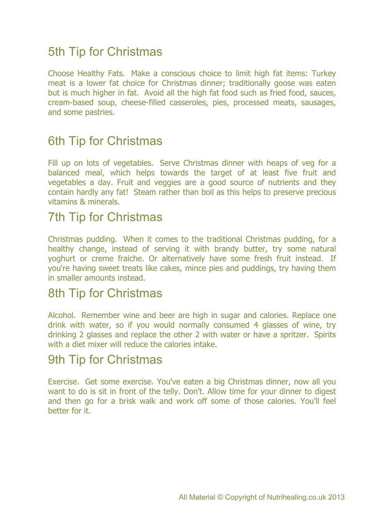# 5th Tip for Christmas

Choose Healthy Fats. Make a conscious choice to limit high fat items: Turkey meat is a lower fat choice for Christmas dinner; traditionally goose was eaten but is much higher in fat. Avoid all the high fat food such as fried food, sauces, cream-based soup, cheese-filled casseroles, pies, processed meats, sausages, and some pastries.

# 6th Tip for Christmas

Fill up on lots of vegetables. Serve Christmas dinner with heaps of veg for a balanced meal, which helps towards the target of at least five fruit and vegetables a day. Fruit and veggies are a good source of nutrients and they contain hardly any fat! Steam rather than boil as this helps to preserve precious vitamins & minerals.

#### 7th Tip for Christmas

Christmas pudding. When it comes to the traditional Christmas pudding, for a healthy change, instead of serving it with brandy butter, try some natural yoghurt or creme fraiche. Or alternatively have some fresh fruit instead. If you're having sweet treats like cakes, mince pies and puddings, try having them in smaller amounts instead.

## 8th Tip for Christmas

Alcohol. Remember wine and beer are high in sugar and calories. Replace one drink with water, so if you would normally consumed 4 glasses of wine, try drinking 2 glasses and replace the other 2 with water or have a spritzer. Spirits with a diet mixer will reduce the calories intake.

## 9th Tip for Christmas

Exercise. Get some exercise. You've eaten a big Christmas dinner, now all you want to do is sit in front of the telly. Don't. Allow time for your dinner to digest and then go for a brisk walk and work off some of those calories. You'll feel better for it.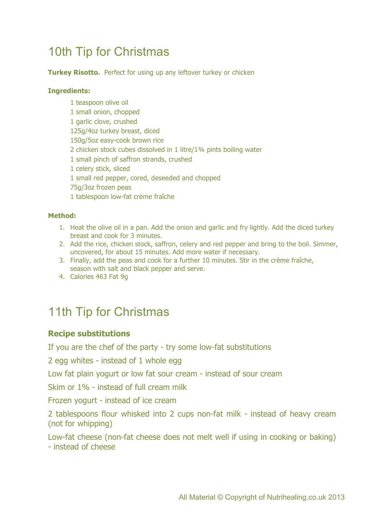# 10th Tip for Christmas

**Turkey Risotto.** Perfect for using up any leftover turkey or chicken

#### **Ingredients:**

1 teaspoon olive oil 1 small onion, chopped 1 garlic clove, crushed 125g/4oz turkey breast, diced 150g/5oz easy-cook brown rice 2 chicken stock cubes dissolved in 1 litre/1¾ pints boiling water 1 small pinch of saffron strands, crushed 1 celery stick, sliced 1 small red pepper, cored, deseeded and chopped 75g/3oz frozen peas 1 tablespoon low-fat crème fraîche

#### **Method:**

- 1. Heat the olive oil in a pan. Add the onion and garlic and fry lightly. Add the diced turkey breast and cook for 3 minutes.
- 2. Add the rice, chicken stock, saffron, celery and red pepper and bring to the boil. Simmer, uncovered, for about 15 minutes. Add more water if necessary.
- 3. Finally, add the peas and cook for a further 10 minutes. Stir in the crème fraîche, season with salt and black pepper and serve.
- 4. Calories 463 Fat 9g

# 11th Tip for Christmas

#### **Recipe substitutions**

If you are the chef of the party - try some low-fat substitutions

2 egg whites - instead of 1 whole egg

Low fat plain yogurt or low fat sour cream - instead of sour cream

Skim or 1% - instead of full cream milk

Frozen yogurt - instead of ice cream

2 tablespoons flour whisked into 2 cups non-fat milk - instead of heavy cream (not for whipping)

Low-fat cheese (non-fat cheese does not melt well if using in cooking or baking) - instead of cheese